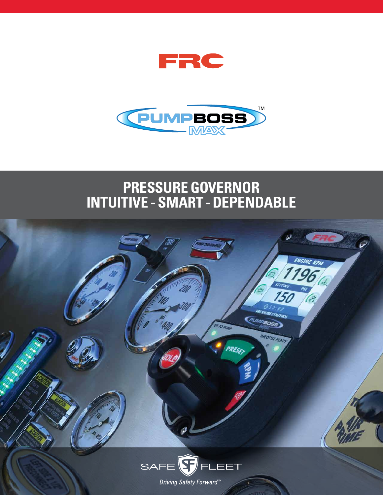



### **PRESSURE GOVERNOR INTUITIVE - SMART - DEPENDABLE**

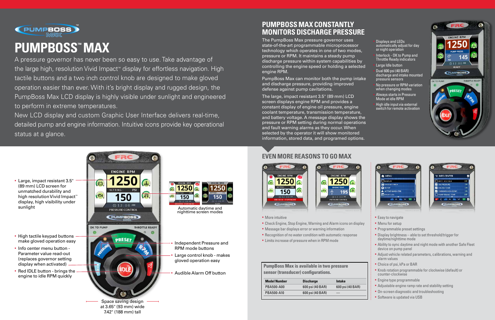

# **PUMPBOSS™ MAX**

A pressure governor has never been so easy to use. Take advantage of the large high, resolution Vivid Impact<sup>™</sup> display for effortless navigation. High tactile buttons and a two inch control knob are designed to make gloved operation easier than ever. With it's bright display and rugged design, the PumpBoss Max LCD display is highly visible under sunlight and engineered to perform in extreme temperatures.

New LCD display and custom Graphic User Interface delivers real-time, detailed pump and engine information. Intuitive icons provide key operational status at a glance.

### **PUMPBOSS MAX CONSTANTLY MONITORS DISCHARGE PRESSURE**

The PumpBoss Max pressure governor uses state-of-the-art programmable microprocessor technology which operates in one of two modes, pressure or RPM. It maintains a steady pump discharge pressure within system capabilities by controlling the engine speed or holding a selected engine RPM.

- High tactile keypad buttons make gloved operation easy
- Info center menu button -Parameter value read-out (replaces governor setting display when activated)
- Red IDLE button brings the engine to idle RPM quickly

PumpBoss Max can monitor both the pump intake and discharge pressure, providing improved defense against pump cavitations.

- § More intuitive
- § Check Engine, Stop Engine, Warning and Alarm icons on display
- Message bar displays error or warning information
- Recognition of no water condition with automatic response
- **Example 2** Limits increase of pressure when in RPM mode

The large, impact resistant 3.5" (89 mm) LCD screen displays engine RPM and provides a constant display of engine oil pressure, engine coolant temperature, transmission temperature, and battery voltage. A message display shows the pressure or RPM setting during normal operations and fault warning alarms as they occur. When selected by the operator it will show monitored information, stored data, and programed options.

### **EVEN MORE REASONS TO GO MAX**



### § Large, impact resistant 3.5" (89 mm) LCD screen for unmatched durability and high resolution Vivid Impact<sup>™</sup> display, high visibility under sunlight

- Easy to navigate
- Menu for setup
- § Programmable preset settings
- § Display brightness able to set threshold/trigger for daytime/nighttime mode
- § Ability to sync daytime and night mode with another Safe Fleet device on pump panel
- § Adjust vehicle related parameters, calibrations, warning and alarm values
- § Choice of psi, kPa or BAR
- § Knob rotation programmable for clockwise (default) or counter-clockwise
- **•** Engine type programmable
- Adjustable engine ramp rate and stability setting
- § On-screen diagnostic and troubleshooting
- § Software is updated via USB

Automatic daytime and nighttime screen modes

- § Independent Pressure and RPM mode buttons
- § Large control knob makes gloved operation easy
- § Audible Alarm Off button



 $1250$   $\alpha$  $\bigodot$  $150$ 150

at 3.65" (93 mm) wide 7.42" (188 mm) tall

- 
- § Displays and LEDs automatically adjust for day or night operation
- Interlock OK to Pump and Throttle Ready indicators
- Large Idle button
- § Dual 600 psi (40 BAR) discharge and intake mounted pressure sensors
- No pressure or RPM variation when changing modes
- § Always starts in Pressure Mode at idle RPM
- High idle input via external switch for remote activation







| <b>PumpBoss Max is available in two pressure</b> |
|--------------------------------------------------|
| sensor (transducer) configurations.              |

| <b>Discharge</b> | Intake           |
|------------------|------------------|
| 600 psi (40 BAR) | 600 psi (40 BAR) |
| 600 psi (40 BAR) |                  |
|                  |                  |